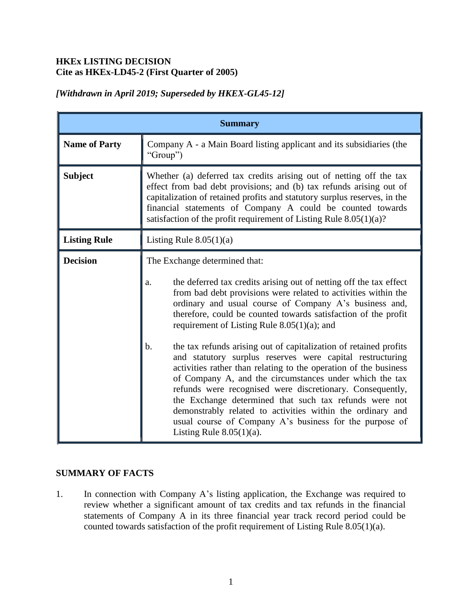## **HKEx LISTING DECISION Cite as HKEx-LD45-2 (First Quarter of 2005)**

| <b>Summary</b>       |                                                                                                                                                                                                                                                                                                                                                                                                                                                                                                                                                                                                                                                                                                                                                                                                                                                                                                                 |
|----------------------|-----------------------------------------------------------------------------------------------------------------------------------------------------------------------------------------------------------------------------------------------------------------------------------------------------------------------------------------------------------------------------------------------------------------------------------------------------------------------------------------------------------------------------------------------------------------------------------------------------------------------------------------------------------------------------------------------------------------------------------------------------------------------------------------------------------------------------------------------------------------------------------------------------------------|
| <b>Name of Party</b> | Company A - a Main Board listing applicant and its subsidiaries (the<br>"Group")                                                                                                                                                                                                                                                                                                                                                                                                                                                                                                                                                                                                                                                                                                                                                                                                                                |
| <b>Subject</b>       | Whether (a) deferred tax credits arising out of netting off the tax<br>effect from bad debt provisions; and (b) tax refunds arising out of<br>capitalization of retained profits and statutory surplus reserves, in the<br>financial statements of Company A could be counted towards<br>satisfaction of the profit requirement of Listing Rule 8.05(1)(a)?                                                                                                                                                                                                                                                                                                                                                                                                                                                                                                                                                     |
| <b>Listing Rule</b>  | Listing Rule $8.05(1)(a)$                                                                                                                                                                                                                                                                                                                                                                                                                                                                                                                                                                                                                                                                                                                                                                                                                                                                                       |
| <b>Decision</b>      | The Exchange determined that:<br>the deferred tax credits arising out of netting off the tax effect<br>a.<br>from bad debt provisions were related to activities within the<br>ordinary and usual course of Company A's business and,<br>therefore, could be counted towards satisfaction of the profit<br>requirement of Listing Rule $8.05(1)(a)$ ; and<br>b.<br>the tax refunds arising out of capitalization of retained profits<br>and statutory surplus reserves were capital restructuring<br>activities rather than relating to the operation of the business<br>of Company A, and the circumstances under which the tax<br>refunds were recognised were discretionary. Consequently,<br>the Exchange determined that such tax refunds were not<br>demonstrably related to activities within the ordinary and<br>usual course of Company A's business for the purpose of<br>Listing Rule $8.05(1)(a)$ . |

# *[Withdrawn in April 2019; Superseded by HKEX-GL45-12]*

## **SUMMARY OF FACTS**

1. In connection with Company A's listing application, the Exchange was required to review whether a significant amount of tax credits and tax refunds in the financial statements of Company A in its three financial year track record period could be counted towards satisfaction of the profit requirement of Listing Rule 8.05(1)(a).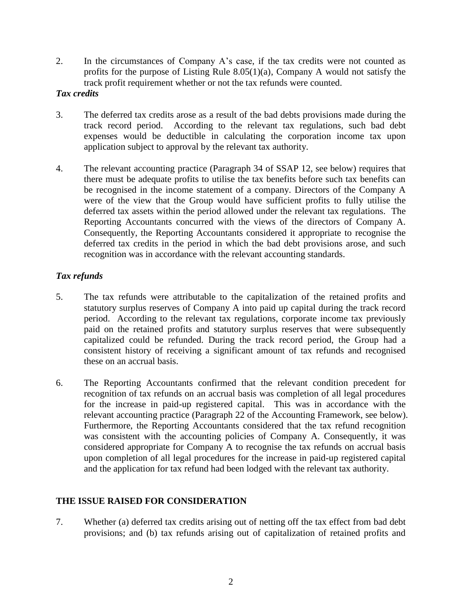2. In the circumstances of Company A's case, if the tax credits were not counted as profits for the purpose of Listing Rule 8.05(1)(a), Company A would not satisfy the track profit requirement whether or not the tax refunds were counted.

### *Tax credits*

- 3. The deferred tax credits arose as a result of the bad debts provisions made during the track record period. According to the relevant tax regulations, such bad debt expenses would be deductible in calculating the corporation income tax upon application subject to approval by the relevant tax authority.
- 4. The relevant accounting practice (Paragraph 34 of SSAP 12, see below) requires that there must be adequate profits to utilise the tax benefits before such tax benefits can be recognised in the income statement of a company. Directors of the Company A were of the view that the Group would have sufficient profits to fully utilise the deferred tax assets within the period allowed under the relevant tax regulations. The Reporting Accountants concurred with the views of the directors of Company A. Consequently, the Reporting Accountants considered it appropriate to recognise the deferred tax credits in the period in which the bad debt provisions arose, and such recognition was in accordance with the relevant accounting standards.

### *Tax refunds*

- 5. The tax refunds were attributable to the capitalization of the retained profits and statutory surplus reserves of Company A into paid up capital during the track record period. According to the relevant tax regulations, corporate income tax previously paid on the retained profits and statutory surplus reserves that were subsequently capitalized could be refunded. During the track record period, the Group had a consistent history of receiving a significant amount of tax refunds and recognised these on an accrual basis.
- 6. The Reporting Accountants confirmed that the relevant condition precedent for recognition of tax refunds on an accrual basis was completion of all legal procedures for the increase in paid-up registered capital. This was in accordance with the relevant accounting practice (Paragraph 22 of the Accounting Framework, see below). Furthermore, the Reporting Accountants considered that the tax refund recognition was consistent with the accounting policies of Company A. Consequently, it was considered appropriate for Company A to recognise the tax refunds on accrual basis upon completion of all legal procedures for the increase in paid-up registered capital and the application for tax refund had been lodged with the relevant tax authority.

## **THE ISSUE RAISED FOR CONSIDERATION**

7. Whether (a) deferred tax credits arising out of netting off the tax effect from bad debt provisions; and (b) tax refunds arising out of capitalization of retained profits and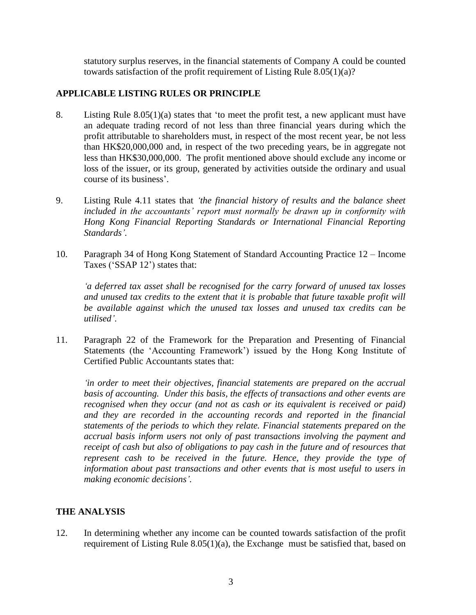statutory surplus reserves, in the financial statements of Company A could be counted towards satisfaction of the profit requirement of Listing Rule 8.05(1)(a)?

## **APPLICABLE LISTING RULES OR PRINCIPLE**

- 8. Listing Rule 8.05(1)(a) states that 'to meet the profit test, a new applicant must have an adequate trading record of not less than three financial years during which the profit attributable to shareholders must, in respect of the most recent year, be not less than HK\$20,000,000 and, in respect of the two preceding years, be in aggregate not less than HK\$30,000,000. The profit mentioned above should exclude any income or loss of the issuer, or its group, generated by activities outside the ordinary and usual course of its business'.
- 9. Listing Rule 4.11 states that *'the financial history of results and the balance sheet included in the accountants' report must normally be drawn up in conformity with Hong Kong Financial Reporting Standards or International Financial Reporting Standards'.*
- 10. Paragraph 34 of Hong Kong Statement of Standard Accounting Practice 12 Income Taxes ('SSAP 12') states that:

 *'a deferred tax asset shall be recognised for the carry forward of unused tax losses and unused tax credits to the extent that it is probable that future taxable profit will be available against which the unused tax losses and unused tax credits can be utilised'*.

11. Paragraph 22 of the Framework for the Preparation and Presenting of Financial Statements (the 'Accounting Framework') issued by the Hong Kong Institute of Certified Public Accountants states that:

 *'in order to meet their objectives, financial statements are prepared on the accrual basis of accounting. Under this basis, the effects of transactions and other events are recognised when they occur (and not as cash or its equivalent is received or paid) and they are recorded in the accounting records and reported in the financial statements of the periods to which they relate. Financial statements prepared on the accrual basis inform users not only of past transactions involving the payment and receipt of cash but also of obligations to pay cash in the future and of resources that represent cash to be received in the future. Hence, they provide the type of information about past transactions and other events that is most useful to users in making economic decisions'.*

#### **THE ANALYSIS**

12. In determining whether any income can be counted towards satisfaction of the profit requirement of Listing Rule 8.05(1)(a), the Exchange must be satisfied that, based on